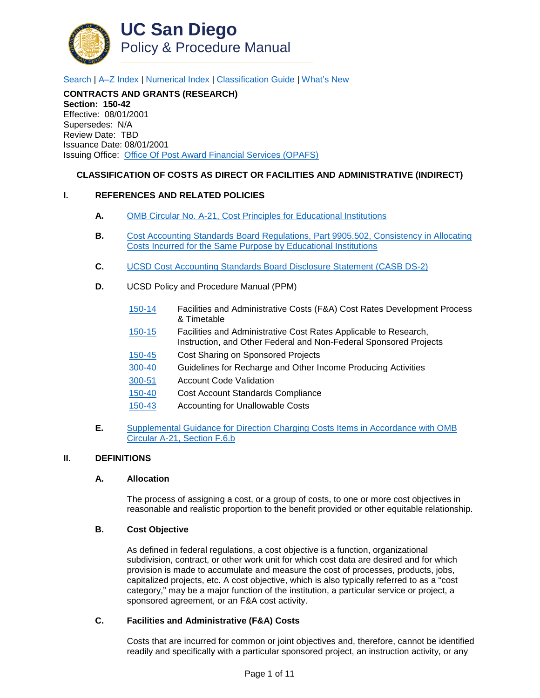

[Search](http://adminrecords.ucsd.edu/ppm/index.html) | [A–Z Index](http://adminrecords.ucsd.edu/ppm/ppmindex.html) | [Numerical Index](http://adminrecords.ucsd.edu/ppm/numerical.html) | [Classification Guide](http://adminrecords.ucsd.edu/ppm/alphabetical.html) | [What's New](http://adminrecords.ucsd.edu/ppm/whatsnew.html)

**CONTRACTS AND GRANTS (RESEARCH) Section: 150-42** Effective: 08/01/2001 Supersedes: N/A Review Date: TBD Issuance Date: 08/01/2001 Issuing Office:[Office Of Post Award Financial Services \(OPAFS\)](http://blink.ucsd.edu/sponsor/BFS/divisions/opafs/)

## **CLASSIFICATION OF COSTS AS DIRECT OR FACILITIES AND ADMINISTRATIVE (INDIRECT)**

### **I. REFERENCES AND RELATED POLICIES**

- **A.** [OMB Circular No. A-21, Cost Principles for Educational Institutions](http://www.whitehouse.gov/omb/circulars_a021_2004/)
- **B.** [Cost Accounting Standards Board Regulations, Part 9905.502,](http://www.gpo.gov/fdsys/granule/CFR-2010-title48-vol7/CFR-2010-title48-vol7-sec9905-502/content-detail.html) Consistency in Allocating [Costs Incurred for the Same Purpose by Educational Institutions](http://www.gpo.gov/fdsys/granule/CFR-2010-title48-vol7/CFR-2010-title48-vol7-sec9905-502/content-detail.html)
- **C.** [UCSD Cost Accounting Standards Board Disclosure Statement \(CASB DS-2\)](http://www.whitehouse.gov/sites/default/files/omb/procurement/casb_ds-2.pdf)
- **D.** UCSD Policy and Procedure Manual (PPM)
	- [150-14](http://adminrecords.ucsd.edu/PPM/docs/150-14.HTML) Facilities and Administrative Costs (F&A) Cost Rates Development Process & Timetable
	- [150-15](http://adminrecords.ucsd.edu/PPM/docs/150-15.HTML) Facilities and Administrative Cost Rates Applicable to Research, Instruction, and Other Federal and Non-Federal Sponsored Projects
	- [150-45](http://adminrecords.ucsd.edu/PPM/docs/150-45.HTML) Cost Sharing on Sponsored Projects
	- [300-40](http://adminrecords.ucsd.edu/ppm/docs/300-40.HTML) Guidelines for Recharge and Other Income Producing Activities
	- [300-51](http://adminrecords.ucsd.edu/ppm/docs/300-51.HTML) Account Code Validation
	- [150-40](http://adminrecords.ucsd.edu/PPM/docs/150-40.HTML) Cost Account Standards Compliance
	- [150-43](http://adminrecords.ucsd.edu/PPM/docs/150-43.HTML) Accounting for Unallowable Costs
- **E.** [Supplemental Guidance for Direction Charging Costs Items in Accordance with OMB](http://www.whitehouse.gov/omb/circulars_a021_2004#f)  [Circular A-21, Section F.6.b](http://www.whitehouse.gov/omb/circulars_a021_2004#f)

### **II. DEFINITIONS**

### **A. Allocation**

The process of assigning a cost, or a group of costs, to one or more cost objectives in reasonable and realistic proportion to the benefit provided or other equitable relationship.

### **B. Cost Objective**

As defined in federal regulations, a cost objective is a function, organizational subdivision, contract, or other work unit for which cost data are desired and for which provision is made to accumulate and measure the cost of processes, products, jobs, capitalized projects, etc. A cost objective, which is also typically referred to as a "cost category," may be a major function of the institution, a particular service or project, a sponsored agreement, or an F&A cost activity.

## **C. Facilities and Administrative (F&A) Costs**

Costs that are incurred for common or joint objectives and, therefore, cannot be identified readily and specifically with a particular sponsored project, an instruction activity, or any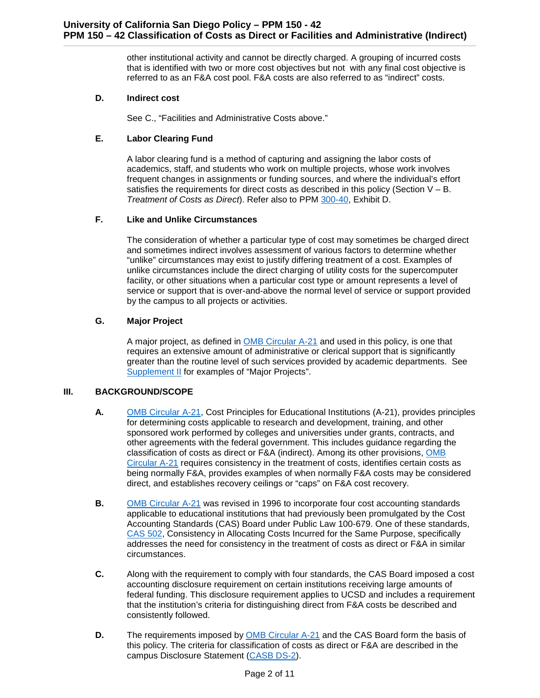other institutional activity and cannot be directly charged. A grouping of incurred costs that is identified with two or more cost objectives but not with any final cost objective is referred to as an F&A cost pool. F&A costs are also referred to as "indirect" costs.

## **D. Indirect cost**

See C., "Facilities and Administrative Costs above."

# **E. Labor Clearing Fund**

A labor clearing fund is a method of capturing and assigning the labor costs of academics, staff, and students who work on multiple projects, whose work involves frequent changes in assignments or funding sources, and where the individual's effort satisfies the requirements for direct costs as described in this policy (Section  $V - B$ . *Treatment of Costs as Direct*). Refer also to PPM [300-40,](http://adminrecords.ucsd.edu/PPM/docs/300-40.HTML) Exhibit D.

## **F. Like and Unlike Circumstances**

The consideration of whether a particular type of cost may sometimes be charged direct and sometimes indirect involves assessment of various factors to determine whether "unlike" circumstances may exist to justify differing treatment of a cost. Examples of unlike circumstances include the direct charging of utility costs for the supercomputer facility, or other situations when a particular cost type or amount represents a level of service or support that is over-and-above the normal level of service or support provided by the campus to all projects or activities.

## **G. Major Project**

A major project, as defined in [OMB Circular A-21](http://www.whitehouse.gov/omb/circulars_a021_2004) and used in this policy, is one that requires an extensive amount of administrative or clerical support that is significantly greater than the routine level of such services provided by academic departments. See [Supplement](#page-9-0) II for examples of "Major Projects".

# **III. BACKGROUND/SCOPE**

- **A.** [OMB Circular A-21,](http://www.whitehouse.gov/omb/circulars_a021_2004) Cost Principles for Educational Institutions (A-21), provides principles for determining costs applicable to research and development, training, and other sponsored work performed by colleges and universities under grants, contracts, and other agreements with the federal government. This includes guidance regarding the classification of costs as direct or F&A (indirect). Among its other provisions, [OMB](http://www.whitehouse.gov/omb/circulars_a021_2004)  [Circular A-21](http://www.whitehouse.gov/omb/circulars_a021_2004) requires consistency in the treatment of costs, identifies certain costs as being normally F&A, provides examples of when normally F&A costs may be considered direct, and establishes recovery ceilings or "caps" on F&A cost recovery.
- **B.** [OMB Circular A-21](http://www.whitehouse.gov/omb/circulars_a021_2004) was revised in 1996 to incorporate four cost accounting standards applicable to educational institutions that had previously been promulgated by the Cost Accounting Standards (CAS) Board under Public Law 100-679. One of these standards, [CAS 502,](http://www.ecfr.gov/cgi-bin/text-idx?c=ecfr;sid=8afc54baa67b219009d0498d24a0ed75;rgn=div5;view=text;node=48%3A7.0.11.26.6;idno=48;cc=ecfr#se48.7.9905_1502) Consistency in Allocating Costs Incurred for the Same Purpose, specifically addresses the need for consistency in the treatment of costs as direct or F&A in similar circumstances.
- **C.** Along with the requirement to comply with four standards, the CAS Board imposed a cost accounting disclosure requirement on certain institutions receiving large amounts of federal funding. This disclosure requirement applies to UCSD and includes a requirement that the institution's criteria for distinguishing direct from F&A costs be described and consistently followed.
- **D.** The requirements imposed by [OMB Circular A-21](http://www.whitehouse.gov/omb/circulars_a021_2004) and the CAS Board form the basis of this policy. The criteria for classification of costs as direct or F&A are described in the campus Disclosure Statement [\(CASB DS-2\)](http://www.whitehouse.gov/sites/default/files/omb/procurement/casb_ds-2.pdf).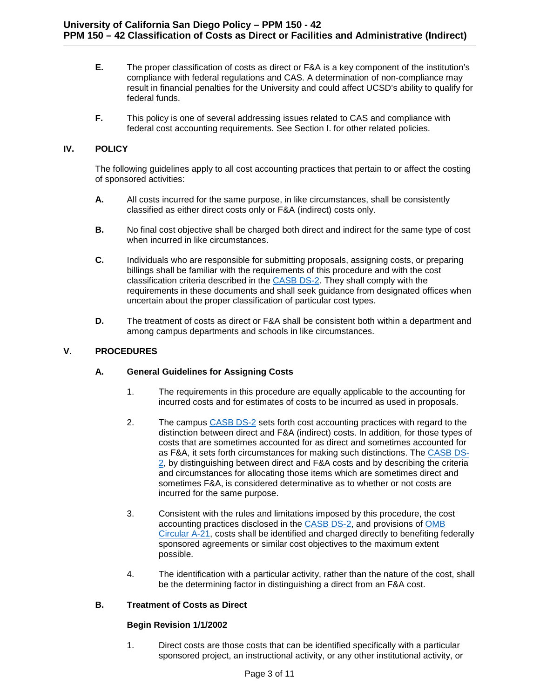- **E.** The proper classification of costs as direct or F&A is a key component of the institution's compliance with federal regulations and CAS. A determination of non-compliance may result in financial penalties for the University and could affect UCSD's ability to qualify for federal funds.
- **F.** This policy is one of several addressing issues related to CAS and compliance with federal cost accounting requirements. See Section I. for other related policies.

## **IV. POLICY**

The following guidelines apply to all cost accounting practices that pertain to or affect the costing of sponsored activities:

- **A.** All costs incurred for the same purpose, in like circumstances, shall be consistently classified as either direct costs only or F&A (indirect) costs only.
- **B.** No final cost objective shall be charged both direct and indirect for the same type of cost when incurred in like circumstances.
- **C.** Individuals who are responsible for submitting proposals, assigning costs, or preparing billings shall be familiar with the requirements of this procedure and with the cost classification criteria described in the [CASB DS-2.](http://www.whitehouse.gov/sites/default/files/omb/procurement/casb_ds-2.pdf) They shall comply with the requirements in these documents and shall seek guidance from designated offices when uncertain about the proper classification of particular cost types.
- **D.** The treatment of costs as direct or F&A shall be consistent both within a department and among campus departments and schools in like circumstances.

## **V. PROCEDURES**

### **A. General Guidelines for Assigning Costs**

- 1. The requirements in this procedure are equally applicable to the accounting for incurred costs and for estimates of costs to be incurred as used in proposals.
- 2. The campus [CASB DS-2](http://www.whitehouse.gov/sites/default/files/omb/procurement/casb_ds-2.pdf) sets forth cost accounting practices with regard to the distinction between direct and F&A (indirect) costs. In addition, for those types of costs that are sometimes accounted for as direct and sometimes accounted for as F&A, it sets forth circumstances for making such distinctions. The [CASB DS-](http://www.whitehouse.gov/sites/default/files/omb/procurement/casb_ds-2.pdf)[2,](http://www.whitehouse.gov/sites/default/files/omb/procurement/casb_ds-2.pdf) by distinguishing between direct and F&A costs and by describing the criteria and circumstances for allocating those items which are sometimes direct and sometimes F&A, is considered determinative as to whether or not costs are incurred for the same purpose.
- 3. Consistent with the rules and limitations imposed by this procedure, the cost accounting practices disclosed in the [CASB DS-2,](http://www.whitehouse.gov/sites/default/files/omb/procurement/casb_ds-2.pdf) and provisions of [OMB](http://www.whitehouse.gov/omb/circulars_a021_2004)  [Circular A-21,](http://www.whitehouse.gov/omb/circulars_a021_2004) costs shall be identified and charged directly to benefiting federally sponsored agreements or similar cost objectives to the maximum extent possible.
- 4. The identification with a particular activity, rather than the nature of the cost, shall be the determining factor in distinguishing a direct from an F&A cost.

# **B. Treatment of Costs as Direct**

### **Begin Revision 1/1/2002**

1. Direct costs are those costs that can be identified specifically with a particular sponsored project, an instructional activity, or any other institutional activity, or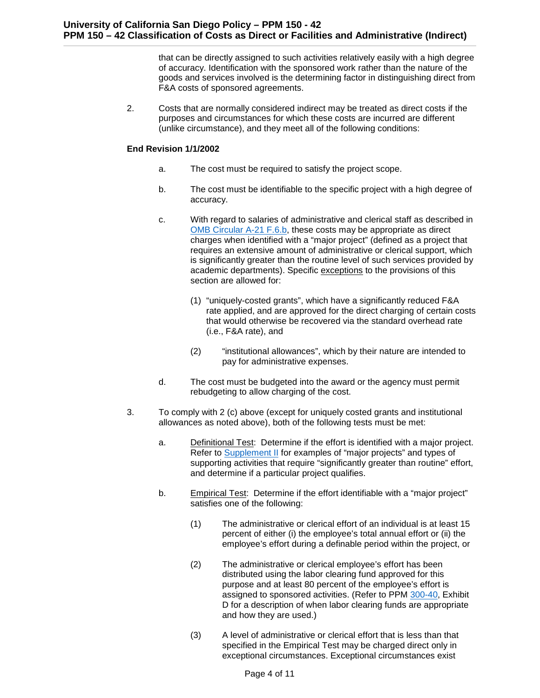that can be directly assigned to such activities relatively easily with a high degree of accuracy. Identification with the sponsored work rather than the nature of the goods and services involved is the determining factor in distinguishing direct from F&A costs of sponsored agreements.

2. Costs that are normally considered indirect may be treated as direct costs if the purposes and circumstances for which these costs are incurred are different (unlike circumstance), and they meet all of the following conditions:

### **End Revision 1/1/2002**

- a. The cost must be required to satisfy the project scope.
- b. The cost must be identifiable to the specific project with a high degree of accuracy.
- c. With regard to salaries of administrative and clerical staff as described in [OMB Circular A-21 F.6.b,](http://www.whitehouse.gov/omb/circulars_a021_2004#f) these costs may be appropriate as direct charges when identified with a "major project" (defined as a project that requires an extensive amount of administrative or clerical support, which is significantly greater than the routine level of such services provided by academic departments). Specific exceptions to the provisions of this section are allowed for:
	- (1) "uniquely-costed grants", which have a significantly reduced F&A rate applied, and are approved for the direct charging of certain costs that would otherwise be recovered via the standard overhead rate (i.e., F&A rate), and
	- (2) "institutional allowances", which by their nature are intended to pay for administrative expenses.
- d. The cost must be budgeted into the award or the agency must permit rebudgeting to allow charging of the cost.
- 3. To comply with 2 (c) above (except for uniquely costed grants and institutional allowances as noted above), both of the following tests must be met:
	- a. Definitional Test: Determine if the effort is identified with a major project. Refer to [Supplement II](#page-9-0) for examples of "major projects" and types of supporting activities that require "significantly greater than routine" effort, and determine if a particular project qualifies.
	- b. Empirical Test: Determine if the effort identifiable with a "major project" satisfies one of the following:
		- (1) The administrative or clerical effort of an individual is at least 15 percent of either (i) the employee's total annual effort or (ii) the employee's effort during a definable period within the project, or
		- (2) The administrative or clerical employee's effort has been distributed using the labor clearing fund approved for this purpose and at least 80 percent of the employee's effort is assigned to sponsored activities. (Refer to PPM [300-40,](http://adminrecords.ucsd.edu/PPM/docs/300-40.HTML) Exhibit D for a description of when labor clearing funds are appropriate and how they are used.)
		- (3) A level of administrative or clerical effort that is less than that specified in the Empirical Test may be charged direct only in exceptional circumstances. Exceptional circumstances exist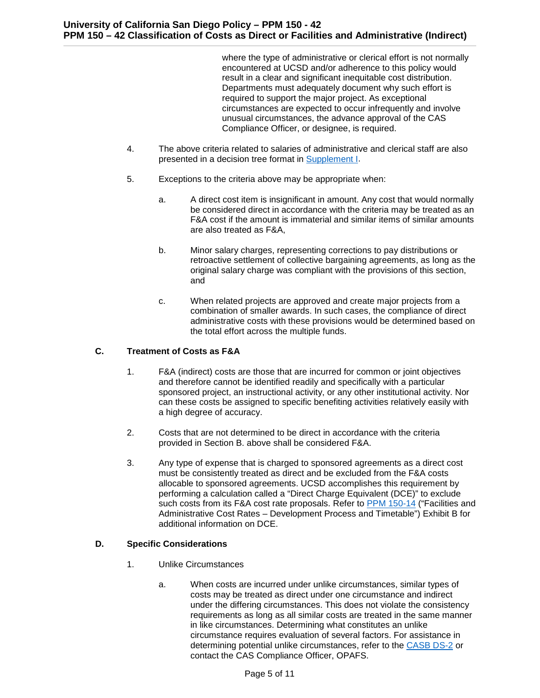where the type of administrative or clerical effort is not normally encountered at UCSD and/or adherence to this policy would result in a clear and significant inequitable cost distribution. Departments must adequately document why such effort is required to support the major project. As exceptional circumstances are expected to occur infrequently and involve unusual circumstances, the advance approval of the CAS Compliance Officer, or designee, is required.

- 4. The above criteria related to salaries of administrative and clerical staff are also presented in a decision tree format in [Supplement I.](#page-8-0)
- 5. Exceptions to the criteria above may be appropriate when:
	- a. A direct cost item is insignificant in amount. Any cost that would normally be considered direct in accordance with the criteria may be treated as an F&A cost if the amount is immaterial and similar items of similar amounts are also treated as F&A,
	- b. Minor salary charges, representing corrections to pay distributions or retroactive settlement of collective bargaining agreements, as long as the original salary charge was compliant with the provisions of this section, and
	- c. When related projects are approved and create major projects from a combination of smaller awards. In such cases, the compliance of direct administrative costs with these provisions would be determined based on the total effort across the multiple funds.

# **C. Treatment of Costs as F&A**

- 1. F&A (indirect) costs are those that are incurred for common or joint objectives and therefore cannot be identified readily and specifically with a particular sponsored project, an instructional activity, or any other institutional activity. Nor can these costs be assigned to specific benefiting activities relatively easily with a high degree of accuracy.
- 2. Costs that are not determined to be direct in accordance with the criteria provided in Section B. above shall be considered F&A.
- 3. Any type of expense that is charged to sponsored agreements as a direct cost must be consistently treated as direct and be excluded from the F&A costs allocable to sponsored agreements. UCSD accomplishes this requirement by performing a calculation called a "Direct Charge Equivalent (DCE)" to exclude such costs from its F&A cost rate proposals. Refer to [PPM 150-14](http://adminrecords.ucsd.edu/PPM/docs/150-14.HTML) ("Facilities and Administrative Cost Rates – Development Process and Timetable") Exhibit B for additional information on DCE.

# **D. Specific Considerations**

- 1. Unlike Circumstances
	- a. When costs are incurred under unlike circumstances, similar types of costs may be treated as direct under one circumstance and indirect under the differing circumstances. This does not violate the consistency requirements as long as all similar costs are treated in the same manner in like circumstances. Determining what constitutes an unlike circumstance requires evaluation of several factors. For assistance in determining potential unlike circumstances, refer to the [CASB DS-2](http://www.whitehouse.gov/sites/default/files/omb/procurement/casb_ds-2.pdf) or contact the CAS Compliance Officer, OPAFS.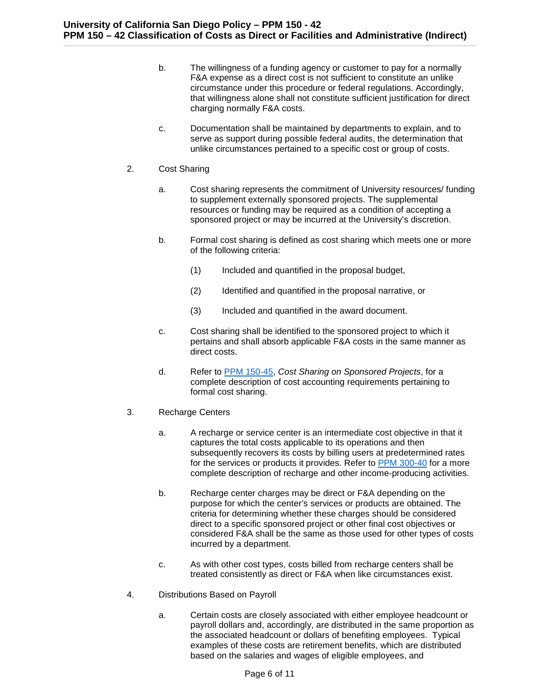- b. The willingness of a funding agency or customer to pay for a normally F&A expense as a direct cost is not sufficient to constitute an unlike circumstance under this procedure or federal regulations. Accordingly, that willingness alone shall not constitute sufficient justification for direct charging normally F&A costs.
- c. Documentation shall be maintained by departments to explain, and to serve as support during possible federal audits, the determination that unlike circumstances pertained to a specific cost or group of costs.
- 2. Cost Sharing
	- a. Cost sharing represents the commitment of University resources/ funding to supplement externally sponsored projects. The supplemental resources or funding may be required as a condition of accepting a sponsored project or may be incurred at the University's discretion.
	- b. Formal cost sharing is defined as cost sharing which meets one or more of the following criteria:
		- (1) Included and quantified in the proposal budget,
		- (2) Identified and quantified in the proposal narrative, or
		- (3) Included and quantified in the award document.
	- c. Cost sharing shall be identified to the sponsored project to which it pertains and shall absorb applicable F&A costs in the same manner as direct costs.
	- d. Refer to [PPM 150-45,](http://adminrecords.ucsd.edu/PPM/docs/150-45.HTML) *Cost Sharing on Sponsored Projects*, for a complete description of cost accounting requirements pertaining to formal cost sharing.
- 3. Recharge Centers
	- a. A recharge or service center is an intermediate cost objective in that it captures the total costs applicable to its operations and then subsequently recovers its costs by billing users at predetermined rates for the services or products it provides. Refer to [PPM 300-40](http://adminrecords.ucsd.edu/PPM/docs/300-40.HTML) for a more complete description of recharge and other income-producing activities.
	- b. Recharge center charges may be direct or F&A depending on the purpose for which the center's services or products are obtained. The criteria for determining whether these charges should be considered direct to a specific sponsored project or other final cost objectives or considered F&A shall be the same as those used for other types of costs incurred by a department.
	- c. As with other cost types, costs billed from recharge centers shall be treated consistently as direct or F&A when like circumstances exist.
- 4. Distributions Based on Payroll
	- a. Certain costs are closely associated with either employee headcount or payroll dollars and, accordingly, are distributed in the same proportion as the associated headcount or dollars of benefiting employees. Typical examples of these costs are retirement benefits, which are distributed based on the salaries and wages of eligible employees, and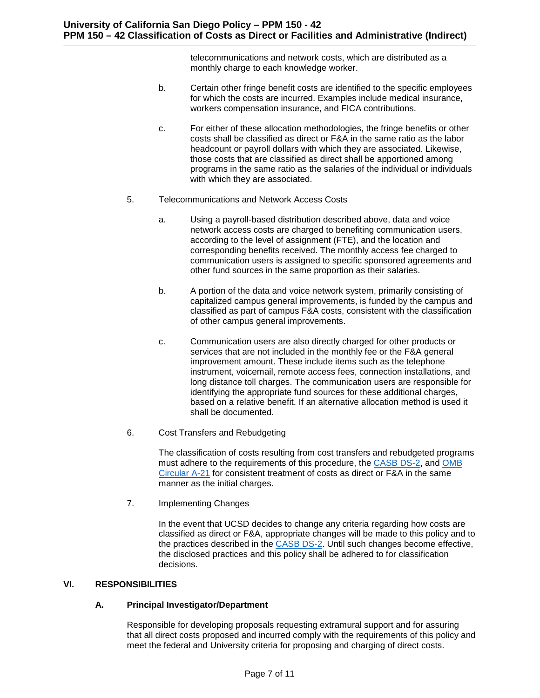telecommunications and network costs, which are distributed as a monthly charge to each knowledge worker.

- b. Certain other fringe benefit costs are identified to the specific employees for which the costs are incurred. Examples include medical insurance, workers compensation insurance, and FICA contributions.
- c. For either of these allocation methodologies, the fringe benefits or other costs shall be classified as direct or F&A in the same ratio as the labor headcount or payroll dollars with which they are associated. Likewise, those costs that are classified as direct shall be apportioned among programs in the same ratio as the salaries of the individual or individuals with which they are associated.
- 5. Telecommunications and Network Access Costs
	- a. Using a payroll-based distribution described above, data and voice network access costs are charged to benefiting communication users, according to the level of assignment (FTE), and the location and corresponding benefits received. The monthly access fee charged to communication users is assigned to specific sponsored agreements and other fund sources in the same proportion as their salaries.
	- b. A portion of the data and voice network system, primarily consisting of capitalized campus general improvements, is funded by the campus and classified as part of campus F&A costs, consistent with the classification of other campus general improvements.
	- c. Communication users are also directly charged for other products or services that are not included in the monthly fee or the F&A general improvement amount. These include items such as the telephone instrument, voicemail, remote access fees, connection installations, and long distance toll charges. The communication users are responsible for identifying the appropriate fund sources for these additional charges, based on a relative benefit. If an alternative allocation method is used it shall be documented.
- 6. Cost Transfers and Rebudgeting

The classification of costs resulting from cost transfers and rebudgeted programs must adhere to the requirements of this procedure, the [CASB DS-2,](http://www.whitehouse.gov/sites/default/files/omb/procurement/casb_ds-2.pdf) and [OMB](http://www.whitehouse.gov/omb/circulars_a021_2004)  [Circular A-21](http://www.whitehouse.gov/omb/circulars_a021_2004) for consistent treatment of costs as direct or F&A in the same manner as the initial charges.

7. Implementing Changes

In the event that UCSD decides to change any criteria regarding how costs are classified as direct or F&A, appropriate changes will be made to this policy and to the practices described in the [CASB DS-2.](http://www.whitehouse.gov/sites/default/files/omb/procurement/casb_ds-2.pdf) Until such changes become effective, the disclosed practices and this policy shall be adhered to for classification decisions.

# **VI. RESPONSIBILITIES**

### **A. Principal Investigator/Department**

Responsible for developing proposals requesting extramural support and for assuring that all direct costs proposed and incurred comply with the requirements of this policy and meet the federal and University criteria for proposing and charging of direct costs.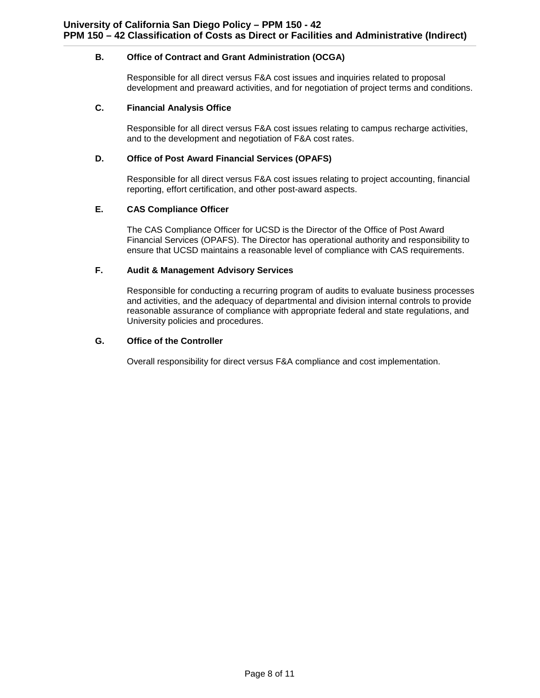## **B. Office of Contract and Grant Administration (OCGA)**

Responsible for all direct versus F&A cost issues and inquiries related to proposal development and preaward activities, and for negotiation of project terms and conditions.

### **C. Financial Analysis Office**

Responsible for all direct versus F&A cost issues relating to campus recharge activities, and to the development and negotiation of F&A cost rates.

## **D. Office of Post Award Financial Services (OPAFS)**

Responsible for all direct versus F&A cost issues relating to project accounting, financial reporting, effort certification, and other post-award aspects.

## **E. CAS Compliance Officer**

The CAS Compliance Officer for UCSD is the Director of the Office of Post Award Financial Services (OPAFS). The Director has operational authority and responsibility to ensure that UCSD maintains a reasonable level of compliance with CAS requirements.

## **F. Audit & Management Advisory Services**

Responsible for conducting a recurring program of audits to evaluate business processes and activities, and the adequacy of departmental and division internal controls to provide reasonable assurance of compliance with appropriate federal and state regulations, and University policies and procedures.

# **G. Office of the Controller**

Overall responsibility for direct versus F&A compliance and cost implementation.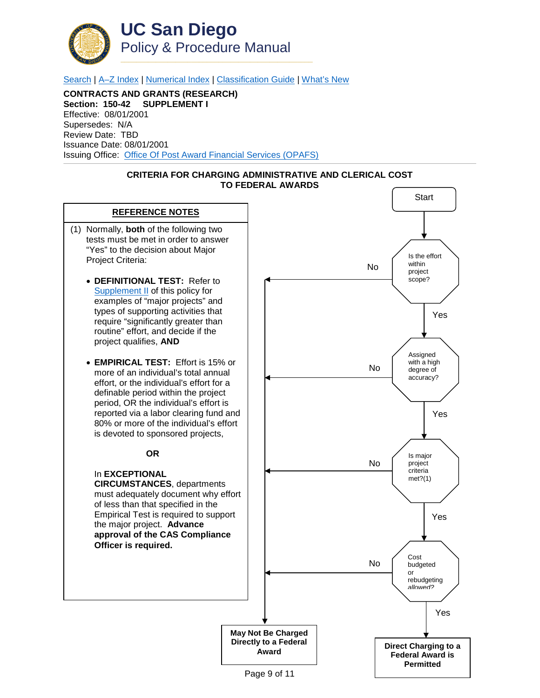

[Search](http://adminrecords.ucsd.edu/ppm/index.html) | [A–Z Index](http://adminrecords.ucsd.edu/ppm/ppmindex.html) | [Numerical Index](http://adminrecords.ucsd.edu/ppm/numerical.html) | [Classification Guide](http://adminrecords.ucsd.edu/ppm/alphabetical.html) | [What's New](http://adminrecords.ucsd.edu/ppm/whatsnew.html)

**CONTRACTS AND GRANTS (RESEARCH) Section: 150-42 SUPPLEMENT I** Effective: 08/01/2001 Supersedes: N/A Review Date: TBD Issuance Date: 08/01/2001 Issuing Office:[Office Of Post Award Financial Services \(OPAFS\)](http://blink.ucsd.edu/sponsor/BFS/divisions/opafs/)



<span id="page-8-0"></span>

Page 9 of 11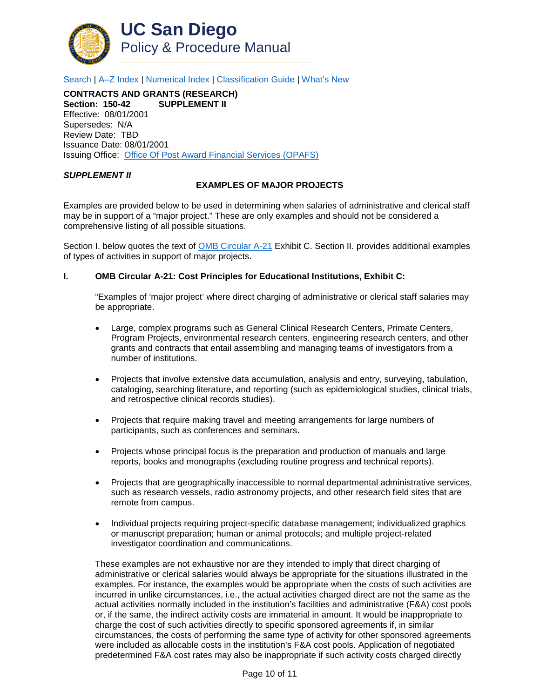

[Search](http://adminrecords.ucsd.edu/ppm/index.html) | [A–Z Index](http://adminrecords.ucsd.edu/ppm/ppmindex.html) | [Numerical Index](http://adminrecords.ucsd.edu/ppm/numerical.html) | [Classification Guide](http://adminrecords.ucsd.edu/ppm/alphabetical.html) | [What's New](http://adminrecords.ucsd.edu/ppm/whatsnew.html)

**CONTRACTS AND GRANTS (RESEARCH) Section: 150-42** Effective: 08/01/2001 Supersedes: N/A Review Date: TBD Issuance Date: 08/01/2001 Issuing Office:[Office Of Post Award Financial Services \(OPAFS\)](http://blink.ucsd.edu/sponsor/BFS/divisions/opafs/)

### <span id="page-9-0"></span>*SUPPLEMENT II*

### **EXAMPLES OF MAJOR PROJECTS**

Examples are provided below to be used in determining when salaries of administrative and clerical staff may be in support of a "major project." These are only examples and should not be considered a comprehensive listing of all possible situations.

Section I. below quotes the text of [OMB Circular A-21](http://www.whitehouse.gov/omb/circulars_a021_2004) Exhibit C. Section II. provides additional examples of types of activities in support of major projects.

## **I. OMB Circular A-21: Cost Principles for Educational Institutions, Exhibit C:**

"Examples of 'major project' where direct charging of administrative or clerical staff salaries may be appropriate.

- Large, complex programs such as General Clinical Research Centers, Primate Centers, Program Projects, environmental research centers, engineering research centers, and other grants and contracts that entail assembling and managing teams of investigators from a number of institutions.
- Projects that involve extensive data accumulation, analysis and entry, surveying, tabulation, cataloging, searching literature, and reporting (such as epidemiological studies, clinical trials, and retrospective clinical records studies).
- Projects that require making travel and meeting arrangements for large numbers of participants, such as conferences and seminars.
- Projects whose principal focus is the preparation and production of manuals and large reports, books and monographs (excluding routine progress and technical reports).
- Projects that are geographically inaccessible to normal departmental administrative services, such as research vessels, radio astronomy projects, and other research field sites that are remote from campus.
- Individual projects requiring project-specific database management; individualized graphics or manuscript preparation; human or animal protocols; and multiple project-related investigator coordination and communications.

These examples are not exhaustive nor are they intended to imply that direct charging of administrative or clerical salaries would always be appropriate for the situations illustrated in the examples. For instance, the examples would be appropriate when the costs of such activities are incurred in unlike circumstances, i.e., the actual activities charged direct are not the same as the actual activities normally included in the institution's facilities and administrative (F&A) cost pools or, if the same, the indirect activity costs are immaterial in amount. It would be inappropriate to charge the cost of such activities directly to specific sponsored agreements if, in similar circumstances, the costs of performing the same type of activity for other sponsored agreements were included as allocable costs in the institution's F&A cost pools. Application of negotiated predetermined F&A cost rates may also be inappropriate if such activity costs charged directly